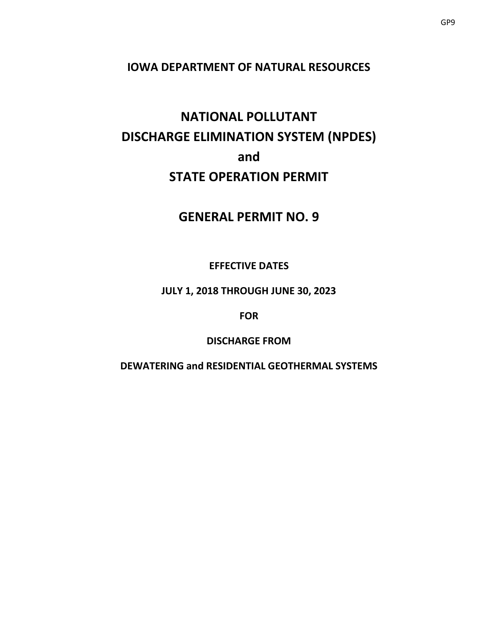## **IOWA DEPARTMENT OF NATURAL RESOURCES**

# **NATIONAL POLLUTANT DISCHARGE ELIMINATION SYSTEM (NPDES) and STATE OPERATION PERMIT**

## **GENERAL PERMIT NO. 9**

## **EFFECTIVE DATES**

## **JULY 1, 2018 THROUGH JUNE 30, 2023**

## **FOR**

## **DISCHARGE FROM**

## **DEWATERING and RESIDENTIAL GEOTHERMAL SYSTEMS**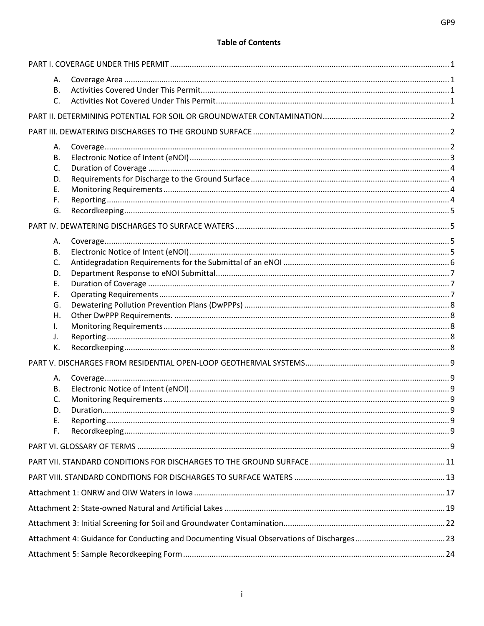#### **Table of Contents**

|    | А.        |  |
|----|-----------|--|
|    | <b>B.</b> |  |
|    | C.        |  |
|    |           |  |
|    |           |  |
|    |           |  |
|    | А.        |  |
|    | В.        |  |
|    | C.        |  |
|    | D.<br>Ε.  |  |
| F. |           |  |
|    | G.        |  |
|    |           |  |
|    |           |  |
|    | Α.        |  |
|    | В.        |  |
|    | C.        |  |
|    | D.        |  |
|    | Ε.        |  |
|    | F.        |  |
|    | G.        |  |
|    | Η.        |  |
| Ι. |           |  |
| J. |           |  |
|    | К.        |  |
|    |           |  |
|    | Α.        |  |
|    | В.        |  |
|    | C.        |  |
|    | D.        |  |
|    | Ε.        |  |
|    | F.        |  |
|    |           |  |
|    |           |  |
|    |           |  |
|    |           |  |
|    |           |  |
|    |           |  |
|    |           |  |
|    |           |  |
|    |           |  |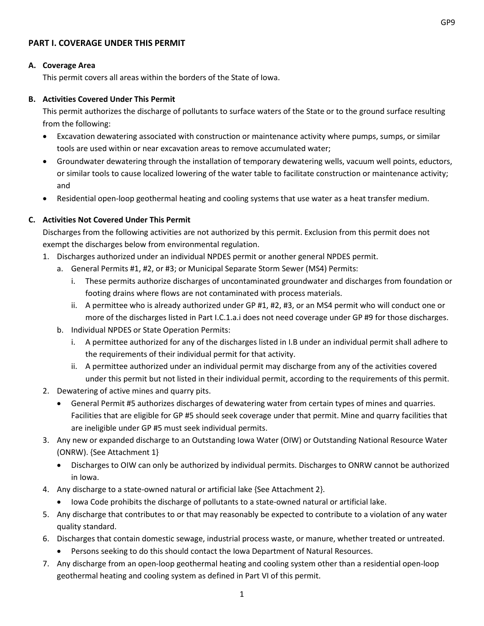## <span id="page-2-0"></span>**PART I. COVERAGE UNDER THIS PERMIT**

#### <span id="page-2-1"></span>**A. Coverage Area**

This permit covers all areas within the borders of the State of Iowa.

#### <span id="page-2-2"></span>**B. Activities Covered Under This Permit**

This permit authorizes the discharge of pollutants to surface waters of the State or to the ground surface resulting from the following:

- Excavation dewatering associated with construction or maintenance activity where pumps, sumps, or similar tools are used within or near excavation areas to remove accumulated water;
- Groundwater dewatering through the installation of temporary dewatering wells, vacuum well points, eductors, or similar tools to cause localized lowering of the water table to facilitate construction or maintenance activity; and
- Residential open-loop geothermal heating and cooling systems that use water as a heat transfer medium.

## <span id="page-2-3"></span>**C. Activities Not Covered Under This Permit**

Discharges from the following activities are not authorized by this permit. Exclusion from this permit does not exempt the discharges below from environmental regulation.

- 1. Discharges authorized under an individual NPDES permit or another general NPDES permit.
	- a. General Permits #1, #2, or #3; or Municipal Separate Storm Sewer (MS4) Permits:
		- i. These permits authorize discharges of uncontaminated groundwater and discharges from foundation or footing drains where flows are not contaminated with process materials.
		- ii. A permittee who is already authorized under GP #1, #2, #3, or an MS4 permit who will conduct one or more of the discharges listed in Part I.C.1.a.i does not need coverage under GP #9 for those discharges.
	- b. Individual NPDES or State Operation Permits:
		- i. A permittee authorized for any of the discharges listed in I.B under an individual permit shall adhere to the requirements of their individual permit for that activity.
		- ii. A permittee authorized under an individual permit may discharge from any of the activities covered under this permit but not listed in their individual permit, according to the requirements of this permit.
- 2. Dewatering of active mines and quarry pits.
	- General Permit #5 authorizes discharges of dewatering water from certain types of mines and quarries. Facilities that are eligible for GP #5 should seek coverage under that permit. Mine and quarry facilities that are ineligible under GP #5 must seek individual permits.
- 3. Any new or expanded discharge to an Outstanding Iowa Water (OIW) or Outstanding National Resource Water (ONRW). {See Attachment 1}
	- Discharges to OIW can only be authorized by individual permits. Discharges to ONRW cannot be authorized in Iowa.
- 4. Any discharge to a state-owned natural or artificial lake {See Attachment 2}.
	- Iowa Code prohibits the discharge of pollutants to a state-owned natural or artificial lake.
- 5. Any discharge that contributes to or that may reasonably be expected to contribute to a violation of any water quality standard.
- 6. Discharges that contain domestic sewage, industrial process waste, or manure, whether treated or untreated.
	- Persons seeking to do this should contact the Iowa Department of Natural Resources.
- 7. Any discharge from an open-loop geothermal heating and cooling system other than a residential open-loop geothermal heating and cooling system as defined in Part VI of this permit.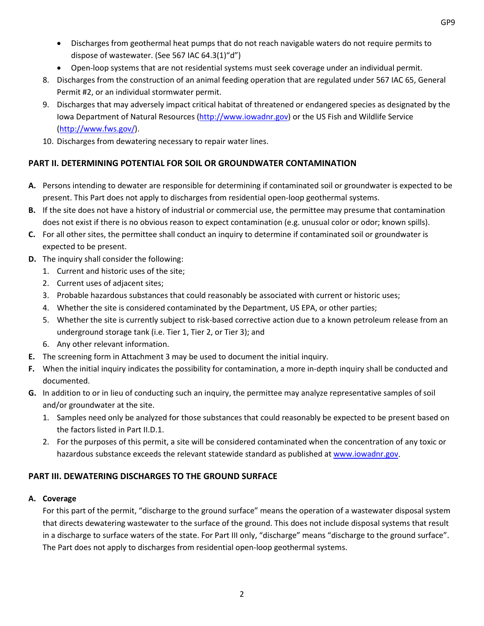- Discharges from geothermal heat pumps that do not reach navigable waters do not require permits to dispose of wastewater. (See 567 IAC 64.3(1)"d")
- Open-loop systems that are not residential systems must seek coverage under an individual permit.
- 8. Discharges from the construction of an animal feeding operation that are regulated under 567 IAC 65, General Permit #2, or an individual stormwater permit.
- 9. Discharges that may adversely impact critical habitat of threatened or endangered species as designated by the Iowa Department of Natural Resources [\(http://www.iowadnr.gov\)](http://www.iowadnr.gov/) or the US Fish and Wildlife Service [\(http://www.fws.gov/\)](http://www.fws.gov/).
- 10. Discharges from dewatering necessary to repair water lines.

## <span id="page-3-0"></span>**PART II. DETERMINING POTENTIAL FOR SOIL OR GROUNDWATER CONTAMINATION**

- **A.** Persons intending to dewater are responsible for determining if contaminated soil or groundwater is expected to be present. This Part does not apply to discharges from residential open-loop geothermal systems.
- **B.** If the site does not have a history of industrial or commercial use, the permittee may presume that contamination does not exist if there is no obvious reason to expect contamination (e.g. unusual color or odor; known spills).
- **C.** For all other sites, the permittee shall conduct an inquiry to determine if contaminated soil or groundwater is expected to be present.
- **D.** The inquiry shall consider the following:
	- 1. Current and historic uses of the site;
	- 2. Current uses of adjacent sites;
	- 3. Probable hazardous substances that could reasonably be associated with current or historic uses;
	- 4. Whether the site is considered contaminated by the Department, US EPA, or other parties;
	- 5. Whether the site is currently subject to risk-based corrective action due to a known petroleum release from an underground storage tank (i.e. Tier 1, Tier 2, or Tier 3); and
	- 6. Any other relevant information.
- **E.** The screening form in Attachment 3 may be used to document the initial inquiry.
- **F.** When the initial inquiry indicates the possibility for contamination, a more in-depth inquiry shall be conducted and documented.
- **G.** In addition to or in lieu of conducting such an inquiry, the permittee may analyze representative samples of soil and/or groundwater at the site.
	- 1. Samples need only be analyzed for those substances that could reasonably be expected to be present based on the factors listed in Part II.D.1.
	- 2. For the purposes of this permit, a site will be considered contaminated when the concentration of any toxic or hazardous substance exceeds the relevant statewide standard as published at [www.iowadnr.gov.](http://www.iowadnr.gov/)

## <span id="page-3-1"></span>**PART III. DEWATERING DISCHARGES TO THE GROUND SURFACE**

## <span id="page-3-2"></span>**A. Coverage**

For this part of the permit, "discharge to the ground surface" means the operation of a wastewater disposal system that directs dewatering wastewater to the surface of the ground. This does not include disposal systems that result in a discharge to surface waters of the state. For Part III only, "discharge" means "discharge to the ground surface". The Part does not apply to discharges from residential open-loop geothermal systems.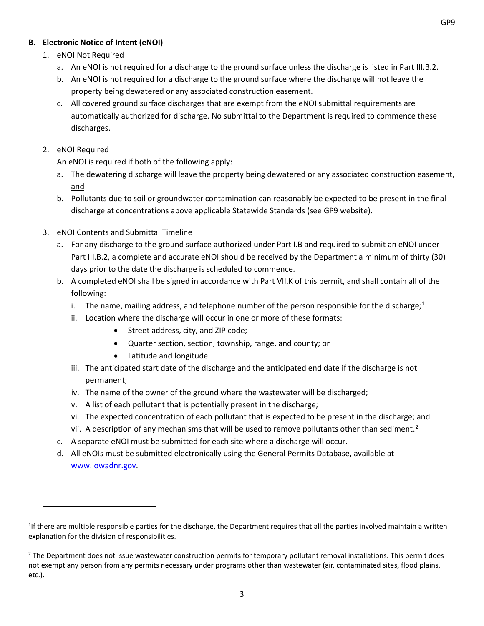## <span id="page-4-0"></span>**B. Electronic Notice of Intent (eNOI)**

## 1. eNOI Not Required

- a. An eNOI is not required for a discharge to the ground surface unless the discharge is listed in Part III.B.2.
- b. An eNOI is not required for a discharge to the ground surface where the discharge will not leave the property being dewatered or any associated construction easement.
- c. All covered ground surface discharges that are exempt from the eNOI submittal requirements are automatically authorized for discharge. No submittal to the Department is required to commence these discharges.

### 2. eNOI Required

l

An eNOI is required if both of the following apply:

- a. The dewatering discharge will leave the property being dewatered or any associated construction easement, and
- b. Pollutants due to soil or groundwater contamination can reasonably be expected to be present in the final discharge at concentrations above applicable Statewide Standards (see GP9 website).
- 3. eNOI Contents and Submittal Timeline
	- a. For any discharge to the ground surface authorized under Part I.B and required to submit an eNOI under Part III.B.2, a complete and accurate eNOI should be received by the Department a minimum of thirty (30) days prior to the date the discharge is scheduled to commence.
	- b. A completed eNOI shall be signed in accordance with Part VII.K of this permit, and shall contain all of the following:
		- i. The name, mailing address, and telephone number of the person responsible for the discharge;<sup>[1](#page-4-1)</sup>
		- ii. Location where the discharge will occur in one or more of these formats:
			- Street address, city, and ZIP code;
			- Quarter section, section, township, range, and county; or
			- Latitude and longitude.
		- iii. The anticipated start date of the discharge and the anticipated end date if the discharge is not permanent;
		- iv. The name of the owner of the ground where the wastewater will be discharged;
		- v. A list of each pollutant that is potentially present in the discharge;
		- vi. The expected concentration of each pollutant that is expected to be present in the discharge; and
		- vii. A description of any mechanisms that will be used to remove pollutants other than sediment.<sup>[2](#page-4-2)</sup>
	- c. A separate eNOI must be submitted for each site where a discharge will occur.
	- d. All eNOIs must be submitted electronically using the General Permits Database, available at [www.iowadnr.gov.](http://www.iowadnr.gov/)

<span id="page-4-1"></span><sup>&</sup>lt;sup>1</sup>If there are multiple responsible parties for the discharge, the Department requires that all the parties involved maintain a written explanation for the division of responsibilities.

<span id="page-4-2"></span> $<sup>2</sup>$  The Department does not issue wastewater construction permits for temporary pollutant removal installations. This permit does</sup> not exempt any person from any permits necessary under programs other than wastewater (air, contaminated sites, flood plains, etc.).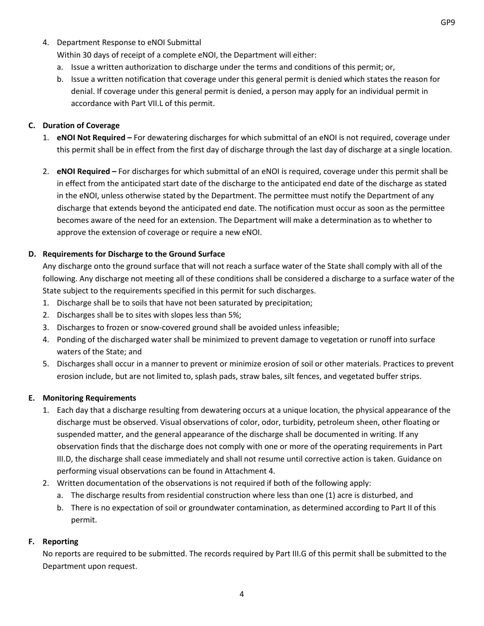4. Department Response to eNOI Submittal

Within 30 days of receipt of a complete eNOI, the Department will either:

- a. Issue a written authorization to discharge under the terms and conditions of this permit; or,
- b. Issue a written notification that coverage under this general permit is denied which states the reason for denial. If coverage under this general permit is denied, a person may apply for an individual permit in accordance with Part VII.L of this permit.

### <span id="page-5-0"></span>**C. Duration of Coverage**

- 1. **eNOI Not Required –** For dewatering discharges for which submittal of an eNOI is not required, coverage under this permit shall be in effect from the first day of discharge through the last day of discharge at a single location.
- 2. **eNOI Required –** For discharges for which submittal of an eNOI is required, coverage under this permit shall be in effect from the anticipated start date of the discharge to the anticipated end date of the discharge as stated in the eNOI, unless otherwise stated by the Department. The permittee must notify the Department of any discharge that extends beyond the anticipated end date. The notification must occur as soon as the permittee becomes aware of the need for an extension. The Department will make a determination as to whether to approve the extension of coverage or require a new eNOI.

## <span id="page-5-1"></span>**D. Requirements for Discharge to the Ground Surface**

Any discharge onto the ground surface that will not reach a surface water of the State shall comply with all of the following. Any discharge not meeting all of these conditions shall be considered a discharge to a surface water of the State subject to the requirements specified in this permit for such discharges.

- 1. Discharge shall be to soils that have not been saturated by precipitation;
- 2. Discharges shall be to sites with slopes less than 5%;
- 3. Discharges to frozen or snow-covered ground shall be avoided unless infeasible;
- 4. Ponding of the discharged water shall be minimized to prevent damage to vegetation or runoff into surface waters of the State; and
- 5. Discharges shall occur in a manner to prevent or minimize erosion of soil or other materials. Practices to prevent erosion include, but are not limited to, splash pads, straw bales, silt fences, and vegetated buffer strips.

#### <span id="page-5-2"></span>**E. Monitoring Requirements**

- 1. Each day that a discharge resulting from dewatering occurs at a unique location, the physical appearance of the discharge must be observed. Visual observations of color, odor, turbidity, petroleum sheen, other floating or suspended matter, and the general appearance of the discharge shall be documented in writing. If any observation finds that the discharge does not comply with one or more of the operating requirements in Part III.D, the discharge shall cease immediately and shall not resume until corrective action is taken. Guidance on performing visual observations can be found in Attachment 4.
- 2. Written documentation of the observations is not required if both of the following apply:
	- a. The discharge results from residential construction where less than one (1) acre is disturbed, and
	- b. There is no expectation of soil or groundwater contamination, as determined according to Part II of this permit.

#### <span id="page-5-3"></span>**F. Reporting**

No reports are required to be submitted. The records required by Part III.G of this permit shall be submitted to the Department upon request.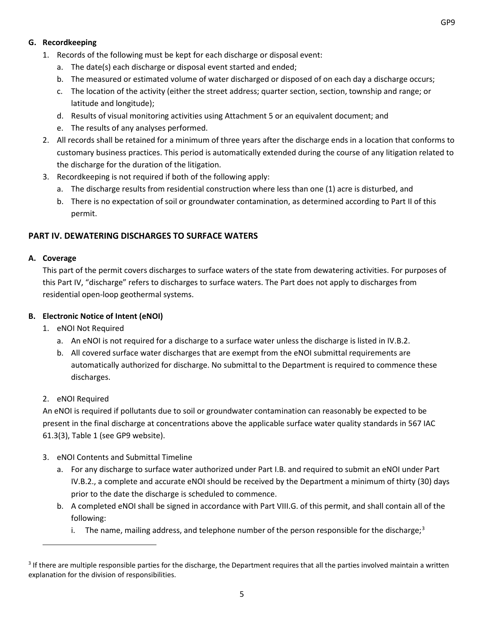## <span id="page-6-0"></span>**G. Recordkeeping**

- 1. Records of the following must be kept for each discharge or disposal event:
	- a. The date(s) each discharge or disposal event started and ended;
	- b. The measured or estimated volume of water discharged or disposed of on each day a discharge occurs;
	- c. The location of the activity (either the street address; quarter section, section, township and range; or latitude and longitude);
	- d. Results of visual monitoring activities using Attachment 5 or an equivalent document; and
	- e. The results of any analyses performed.
- 2. All records shall be retained for a minimum of three years after the discharge ends in a location that conforms to customary business practices. This period is automatically extended during the course of any litigation related to the discharge for the duration of the litigation.
- 3. Recordkeeping is not required if both of the following apply:
	- a. The discharge results from residential construction where less than one (1) acre is disturbed, and
	- b. There is no expectation of soil or groundwater contamination, as determined according to Part II of this permit.

### <span id="page-6-1"></span>**PART IV. DEWATERING DISCHARGES TO SURFACE WATERS**

#### <span id="page-6-2"></span>**A. Coverage**

This part of the permit covers discharges to surface waters of the state from dewatering activities. For purposes of this Part IV, "discharge" refers to discharges to surface waters. The Part does not apply to discharges from residential open-loop geothermal systems.

#### <span id="page-6-3"></span>**B. Electronic Notice of Intent (eNOI)**

- 1. eNOI Not Required
	- a. An eNOI is not required for a discharge to a surface water unless the discharge is listed in IV.B.2.
	- b. All covered surface water discharges that are exempt from the eNOI submittal requirements are automatically authorized for discharge. No submittal to the Department is required to commence these discharges.
- 2. eNOI Required

l

An eNOI is required if pollutants due to soil or groundwater contamination can reasonably be expected to be present in the final discharge at concentrations above the applicable surface water quality standards in 567 IAC 61.3(3), Table 1 (see GP9 website).

- 3. eNOI Contents and Submittal Timeline
	- a. For any discharge to surface water authorized under Part I.B. and required to submit an eNOI under Part IV.B.2., a complete and accurate eNOI should be received by the Department a minimum of thirty (30) days prior to the date the discharge is scheduled to commence.
	- b. A completed eNOI shall be signed in accordance with Part VIII.G. of this permit, and shall contain all of the following:
		- i. The name, mailing address, and telephone number of the person responsible for the discharge;<sup>[3](#page-6-4)</sup>

<span id="page-6-4"></span><sup>&</sup>lt;sup>3</sup> If there are multiple responsible parties for the discharge, the Department requires that all the parties involved maintain a written explanation for the division of responsibilities.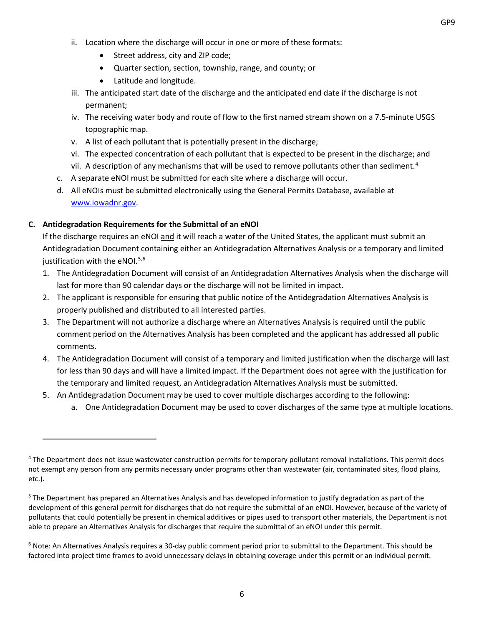- ii. Location where the discharge will occur in one or more of these formats:
	- Street address, city and ZIP code;
	- Quarter section, section, township, range, and county; or
	- Latitude and longitude.
- iii. The anticipated start date of the discharge and the anticipated end date if the discharge is not permanent;
- iv. The receiving water body and route of flow to the first named stream shown on a 7.5-minute USGS topographic map.
- v. A list of each pollutant that is potentially present in the discharge;
- vi. The expected concentration of each pollutant that is expected to be present in the discharge; and
- vii. A description of any mechanisms that will be used to remove pollutants other than sediment.<sup>[4](#page-7-1)</sup>
- c. A separate eNOI must be submitted for each site where a discharge will occur.
- d. All eNOIs must be submitted electronically using the General Permits Database, available at [www.iowadnr.gov.](http://www.iowadnr.gov/)

### <span id="page-7-0"></span>**C. Antidegradation Requirements for the Submittal of an eNOI**

 $\overline{\phantom{a}}$ 

If the discharge requires an eNOI and it will reach a water of the United States, the applicant must submit an Antidegradation Document containing either an Antidegradation Alternatives Analysis or a temporary and limited justification with the eNOI.<sup>[5](#page-7-2),[6](#page-7-3)</sup>

- 1. The Antidegradation Document will consist of an Antidegradation Alternatives Analysis when the discharge will last for more than 90 calendar days or the discharge will not be limited in impact.
- 2. The applicant is responsible for ensuring that public notice of the Antidegradation Alternatives Analysis is properly published and distributed to all interested parties.
- 3. The Department will not authorize a discharge where an Alternatives Analysis is required until the public comment period on the Alternatives Analysis has been completed and the applicant has addressed all public comments.
- 4. The Antidegradation Document will consist of a temporary and limited justification when the discharge will last for less than 90 days and will have a limited impact. If the Department does not agree with the justification for the temporary and limited request, an Antidegradation Alternatives Analysis must be submitted.
- 5. An Antidegradation Document may be used to cover multiple discharges according to the following:
	- a. One Antidegradation Document may be used to cover discharges of the same type at multiple locations.

<span id="page-7-1"></span><sup>&</sup>lt;sup>4</sup> The Department does not issue wastewater construction permits for temporary pollutant removal installations. This permit does not exempt any person from any permits necessary under programs other than wastewater (air, contaminated sites, flood plains, etc.).

<span id="page-7-2"></span><sup>&</sup>lt;sup>5</sup> The Department has prepared an Alternatives Analysis and has developed information to justify degradation as part of the development of this general permit for discharges that do not require the submittal of an eNOI. However, because of the variety of pollutants that could potentially be present in chemical additives or pipes used to transport other materials, the Department is not able to prepare an Alternatives Analysis for discharges that require the submittal of an eNOI under this permit.

<span id="page-7-3"></span><sup>&</sup>lt;sup>6</sup> Note: An Alternatives Analysis requires a 30-day public comment period prior to submittal to the Department. This should be factored into project time frames to avoid unnecessary delays in obtaining coverage under this permit or an individual permit.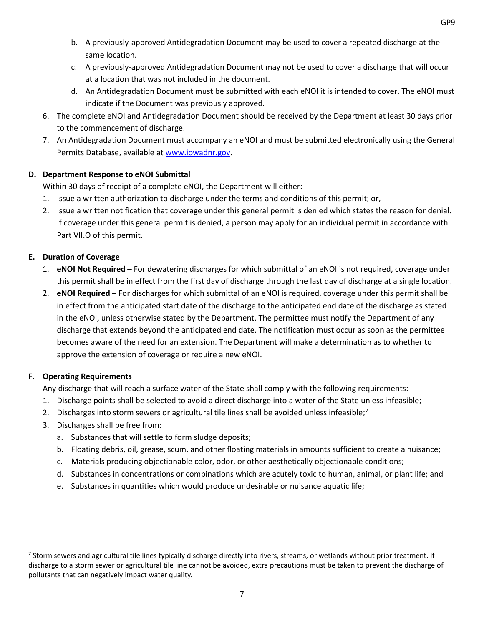- b. A previously-approved Antidegradation Document may be used to cover a repeated discharge at the same location.
- c. A previously-approved Antidegradation Document may not be used to cover a discharge that will occur at a location that was not included in the document.
- d. An Antidegradation Document must be submitted with each eNOI it is intended to cover. The eNOI must indicate if the Document was previously approved.
- 6. The complete eNOI and Antidegradation Document should be received by the Department at least 30 days prior to the commencement of discharge.
- 7. An Antidegradation Document must accompany an eNOI and must be submitted electronically using the General Permits Database, available at [www.iowadnr.gov.](http://www.iowadnr.gov/)

## <span id="page-8-0"></span>**D. Department Response to eNOI Submittal**

Within 30 days of receipt of a complete eNOI, the Department will either:

- 1. Issue a written authorization to discharge under the terms and conditions of this permit; or,
- 2. Issue a written notification that coverage under this general permit is denied which states the reason for denial. If coverage under this general permit is denied, a person may apply for an individual permit in accordance with Part VII.O of this permit.

## <span id="page-8-1"></span>**E. Duration of Coverage**

- 1. **eNOI Not Required –** For dewatering discharges for which submittal of an eNOI is not required, coverage under this permit shall be in effect from the first day of discharge through the last day of discharge at a single location.
- 2. **eNOI Required –** For discharges for which submittal of an eNOI is required, coverage under this permit shall be in effect from the anticipated start date of the discharge to the anticipated end date of the discharge as stated in the eNOI, unless otherwise stated by the Department. The permittee must notify the Department of any discharge that extends beyond the anticipated end date. The notification must occur as soon as the permittee becomes aware of the need for an extension. The Department will make a determination as to whether to approve the extension of coverage or require a new eNOI.

## <span id="page-8-2"></span>**F. Operating Requirements**

l

Any discharge that will reach a surface water of the State shall comply with the following requirements:

- 1. Discharge points shall be selected to avoid a direct discharge into a water of the State unless infeasible;
- 2. Discharges into storm sewers or agricultural tile lines shall be avoided unless infeasible;<sup>7</sup>
- 3. Discharges shall be free from:
	- a. Substances that will settle to form sludge deposits;
	- b. Floating debris, oil, grease, scum, and other floating materials in amounts sufficient to create a nuisance;
	- c. Materials producing objectionable color, odor, or other aesthetically objectionable conditions;
	- d. Substances in concentrations or combinations which are acutely toxic to human, animal, or plant life; and
	- e. Substances in quantities which would produce undesirable or nuisance aquatic life;

<span id="page-8-3"></span> $<sup>7</sup>$  Storm sewers and agricultural tile lines typically discharge directly into rivers, streams, or wetlands without prior treatment. If</sup> discharge to a storm sewer or agricultural tile line cannot be avoided, extra precautions must be taken to prevent the discharge of pollutants that can negatively impact water quality.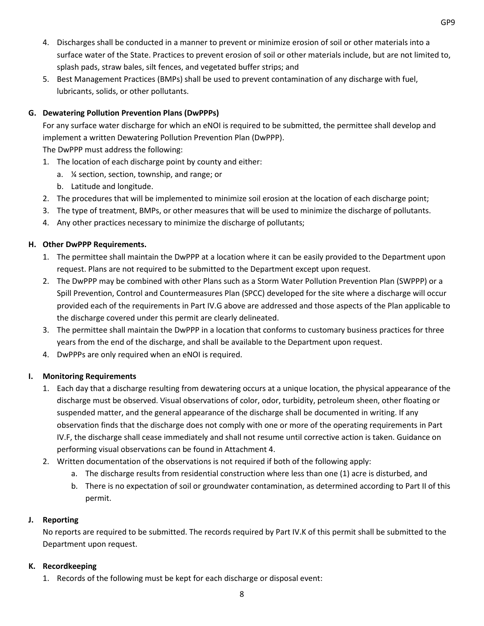- 4. Discharges shall be conducted in a manner to prevent or minimize erosion of soil or other materials into a surface water of the State. Practices to prevent erosion of soil or other materials include, but are not limited to, splash pads, straw bales, silt fences, and vegetated buffer strips; and
- 5. Best Management Practices (BMPs) shall be used to prevent contamination of any discharge with fuel, lubricants, solids, or other pollutants.

## <span id="page-9-0"></span>**G. Dewatering Pollution Prevention Plans (DwPPPs)**

For any surface water discharge for which an eNOI is required to be submitted, the permittee shall develop and implement a written Dewatering Pollution Prevention Plan (DwPPP). The DwPPP must address the following:

- 1. The location of each discharge point by county and either:
	- a. ¼ section, section, township, and range; or
	- b. Latitude and longitude.
- 2. The procedures that will be implemented to minimize soil erosion at the location of each discharge point;
- 3. The type of treatment, BMPs, or other measures that will be used to minimize the discharge of pollutants.
- 4. Any other practices necessary to minimize the discharge of pollutants;

## <span id="page-9-1"></span>**H. Other DwPPP Requirements.**

- 1. The permittee shall maintain the DwPPP at a location where it can be easily provided to the Department upon request. Plans are not required to be submitted to the Department except upon request.
- 2. The DwPPP may be combined with other Plans such as a Storm Water Pollution Prevention Plan (SWPPP) or a Spill Prevention, Control and Countermeasures Plan (SPCC) developed for the site where a discharge will occur provided each of the requirements in Part IV.G above are addressed and those aspects of the Plan applicable to the discharge covered under this permit are clearly delineated.
- 3. The permittee shall maintain the DwPPP in a location that conforms to customary business practices for three years from the end of the discharge, and shall be available to the Department upon request.
- 4. DwPPPs are only required when an eNOI is required.

## <span id="page-9-2"></span>**I. Monitoring Requirements**

- 1. Each day that a discharge resulting from dewatering occurs at a unique location, the physical appearance of the discharge must be observed. Visual observations of color, odor, turbidity, petroleum sheen, other floating or suspended matter, and the general appearance of the discharge shall be documented in writing. If any observation finds that the discharge does not comply with one or more of the operating requirements in Part IV.F, the discharge shall cease immediately and shall not resume until corrective action is taken. Guidance on performing visual observations can be found in Attachment 4.
- 2. Written documentation of the observations is not required if both of the following apply:
	- a. The discharge results from residential construction where less than one (1) acre is disturbed, and
	- b. There is no expectation of soil or groundwater contamination, as determined according to Part II of this permit.

## <span id="page-9-3"></span>**J. Reporting**

No reports are required to be submitted. The records required by Part IV.K of this permit shall be submitted to the Department upon request.

## <span id="page-9-4"></span>**K. Recordkeeping**

1. Records of the following must be kept for each discharge or disposal event: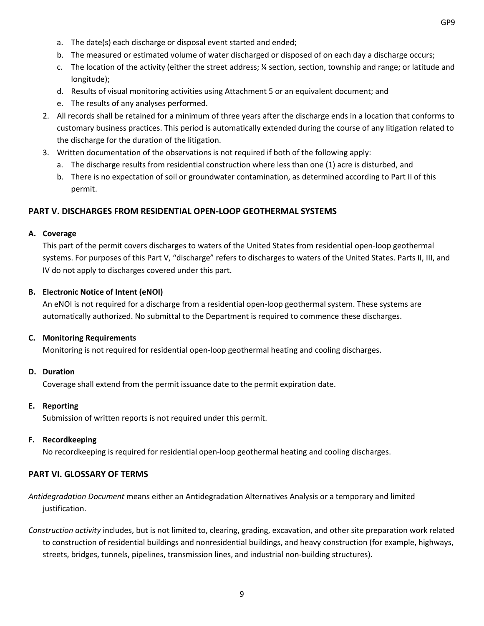- a. The date(s) each discharge or disposal event started and ended;
- b. The measured or estimated volume of water discharged or disposed of on each day a discharge occurs;
- c. The location of the activity (either the street address; ¼ section, section, township and range; or latitude and longitude);
- d. Results of visual monitoring activities using Attachment 5 or an equivalent document; and
- e. The results of any analyses performed.
- 2. All records shall be retained for a minimum of three years after the discharge ends in a location that conforms to customary business practices. This period is automatically extended during the course of any litigation related to the discharge for the duration of the litigation.
- 3. Written documentation of the observations is not required if both of the following apply:
	- a. The discharge results from residential construction where less than one (1) acre is disturbed, and
	- b. There is no expectation of soil or groundwater contamination, as determined according to Part II of this permit.

### <span id="page-10-0"></span>**PART V. DISCHARGES FROM RESIDENTIAL OPEN-LOOP GEOTHERMAL SYSTEMS**

#### <span id="page-10-1"></span>**A. Coverage**

This part of the permit covers discharges to waters of the United States from residential open-loop geothermal systems. For purposes of this Part V, "discharge" refers to discharges to waters of the United States. Parts II, III, and IV do not apply to discharges covered under this part.

#### <span id="page-10-2"></span>**B. Electronic Notice of Intent (eNOI)**

An eNOI is not required for a discharge from a residential open-loop geothermal system. These systems are automatically authorized. No submittal to the Department is required to commence these discharges.

#### <span id="page-10-3"></span>**C. Monitoring Requirements**

Monitoring is not required for residential open-loop geothermal heating and cooling discharges.

#### <span id="page-10-4"></span>**D. Duration**

Coverage shall extend from the permit issuance date to the permit expiration date.

#### <span id="page-10-5"></span>**E. Reporting**

Submission of written reports is not required under this permit.

#### <span id="page-10-6"></span>**F. Recordkeeping**

No recordkeeping is required for residential open-loop geothermal heating and cooling discharges.

#### <span id="page-10-7"></span>**PART VI. GLOSSARY OF TERMS**

*Antidegradation Document* means either an Antidegradation Alternatives Analysis or a temporary and limited justification.

*Construction activity* includes, but is not limited to, clearing, grading, excavation, and other site preparation work related to construction of residential buildings and nonresidential buildings, and heavy construction (for example, highways, streets, bridges, tunnels, pipelines, transmission lines, and industrial non-building structures).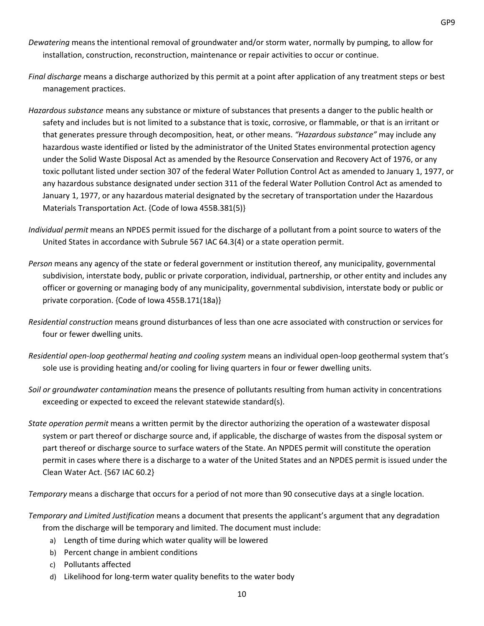- *Dewatering* means the intentional removal of groundwater and/or storm water, normally by pumping, to allow for installation, construction, reconstruction, maintenance or repair activities to occur or continue.
- *Final discharge* means a discharge authorized by this permit at a point after application of any treatment steps or best management practices.
- *Hazardous substance* means any substance or mixture of substances that presents a danger to the public health or safety and includes but is not limited to a substance that is toxic, corrosive, or flammable, or that is an irritant or that generates pressure through decomposition, heat, or other means. *"Hazardous substance"* may include any hazardous waste identified or listed by the administrator of the United States environmental protection agency under the Solid Waste Disposal Act as amended by the Resource Conservation and Recovery Act of 1976, or any toxic pollutant listed under section 307 of the federal Water Pollution Control Act as amended to January 1, 1977, or any hazardous substance designated under section 311 of the federal Water Pollution Control Act as amended to January 1, 1977, or any hazardous material designated by the secretary of transportation under the Hazardous Materials Transportation Act. {Code of Iowa 455B.381(5)}
- *Individual permit* means an NPDES permit issued for the discharge of a pollutant from a point source to waters of the United States in accordance with Subrule 567 IAC 64.3(4) or a state operation permit.
- *Person* means any agency of the state or federal government or institution thereof, any municipality, governmental subdivision, interstate body, public or private corporation, individual, partnership, or other entity and includes any officer or governing or managing body of any municipality, governmental subdivision, interstate body or public or private corporation. {Code of Iowa 455B.171(18a)}
- *Residential construction* means ground disturbances of less than one acre associated with construction or services for four or fewer dwelling units.
- *Residential open-loop geothermal heating and cooling system* means an individual open-loop geothermal system that's sole use is providing heating and/or cooling for living quarters in four or fewer dwelling units.
- *Soil or groundwater contamination* means the presence of pollutants resulting from human activity in concentrations exceeding or expected to exceed the relevant statewide standard(s).
- *State operation permit* means a written permit by the director authorizing the operation of a wastewater disposal system or part thereof or discharge source and, if applicable, the discharge of wastes from the disposal system or part thereof or discharge source to surface waters of the State. An NPDES permit will constitute the operation permit in cases where there is a discharge to a water of the United States and an NPDES permit is issued under the Clean Water Act. {567 IAC 60.2}

*Temporary* means a discharge that occurs for a period of not more than 90 consecutive days at a single location.

- *Temporary and Limited Justification* means a document that presents the applicant's argument that any degradation from the discharge will be temporary and limited. The document must include:
	- a) Length of time during which water quality will be lowered
	- b) Percent change in ambient conditions
	- c) Pollutants affected
	- d) Likelihood for long-term water quality benefits to the water body
		- 10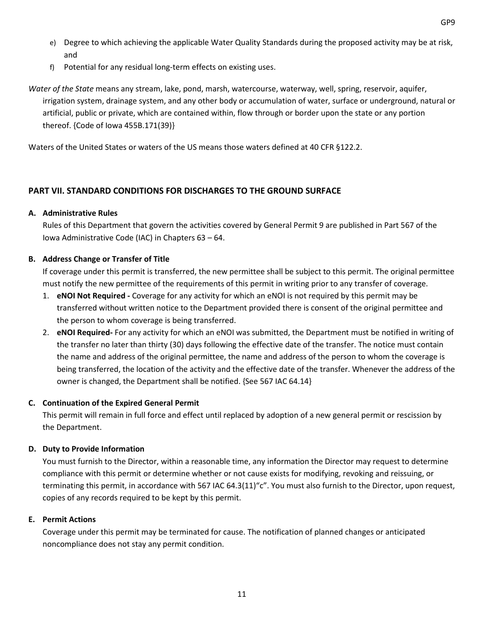- e) Degree to which achieving the applicable Water Quality Standards during the proposed activity may be at risk, and
- f) Potential for any residual long-term effects on existing uses.

*Water of the State* means any stream, lake, pond, marsh, watercourse, waterway, well, spring, reservoir, aquifer, irrigation system, drainage system, and any other body or accumulation of water, surface or underground, natural or artificial, public or private, which are contained within, flow through or border upon the state or any portion thereof. {Code of Iowa 455B.171(39)}

Waters of the United States or waters of the US means those waters defined at 40 CFR §122.2.

## <span id="page-12-0"></span>**PART VII. STANDARD CONDITIONS FOR DISCHARGES TO THE GROUND SURFACE**

## **A. Administrative Rules**

Rules of this Department that govern the activities covered by General Permit 9 are published in Part 567 of the Iowa Administrative Code (IAC) in Chapters 63 – 64.

## **B. Address Change or Transfer of Title**

If coverage under this permit is transferred, the new permittee shall be subject to this permit. The original permittee must notify the new permittee of the requirements of this permit in writing prior to any transfer of coverage.

- 1. **eNOI Not Required -** Coverage for any activity for which an eNOI is not required by this permit may be transferred without written notice to the Department provided there is consent of the original permittee and the person to whom coverage is being transferred.
- 2. **eNOI Required-** For any activity for which an eNOI was submitted, the Department must be notified in writing of the transfer no later than thirty (30) days following the effective date of the transfer. The notice must contain the name and address of the original permittee, the name and address of the person to whom the coverage is being transferred, the location of the activity and the effective date of the transfer. Whenever the address of the owner is changed, the Department shall be notified. {See 567 IAC 64.14}

## **C. Continuation of the Expired General Permit**

This permit will remain in full force and effect until replaced by adoption of a new general permit or rescission by the Department.

## **D. Duty to Provide Information**

You must furnish to the Director, within a reasonable time, any information the Director may request to determine compliance with this permit or determine whether or not cause exists for modifying, revoking and reissuing, or terminating this permit, in accordance with 567 IAC 64.3(11)"c". You must also furnish to the Director, upon request, copies of any records required to be kept by this permit.

## **E. Permit Actions**

Coverage under this permit may be terminated for cause. The notification of planned changes or anticipated noncompliance does not stay any permit condition.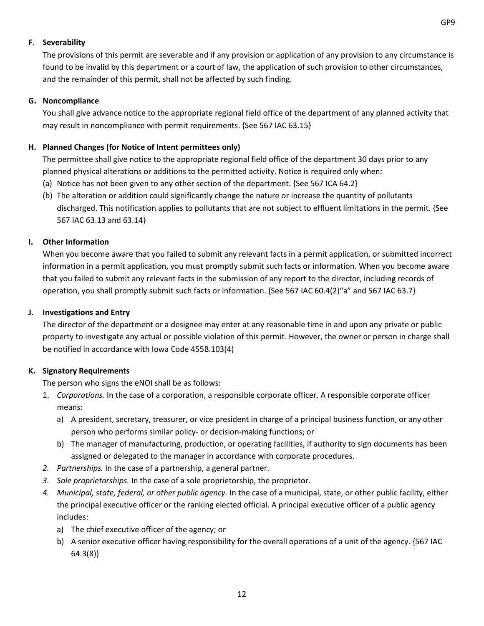#### **F. Severability**

The provisions of this permit are severable and if any provision or application of any provision to any circumstance is found to be invalid by this department or a court of law, the application of such provision to other circumstances, and the remainder of this permit, shall not be affected by such finding.

#### **G. Noncompliance**

You shall give advance notice to the appropriate regional field office of the department of any planned activity that may result in noncompliance with permit requirements. {See 567 IAC 63.15}

## **H. Planned Changes (for Notice of Intent permittees only)**

The permittee shall give notice to the appropriate regional field office of the department 30 days prior to any planned physical alterations or additions to the permitted activity. Notice is required only when:

- (a) Notice has not been given to any other section of the department. {See 567 ICA 64.2}
- (b) The alteration or addition could significantly change the nature or increase the quantity of pollutants discharged. This notification applies to pollutants that are not subject to effluent limitations in the permit. {See 567 IAC 63.13 and 63.14}

### **I. Other Information**

When you become aware that you failed to submit any relevant facts in a permit application, or submitted incorrect information in a permit application, you must promptly submit such facts or information. When you become aware that you failed to submit any relevant facts in the submission of any report to the director, including records of operation, you shall promptly submit such facts or information. {See 567 IAC 60.4(2)"a" and 567 IAC 63.7}

#### **J. Investigations and Entry**

The director of the department or a designee may enter at any reasonable time in and upon any private or public property to investigate any actual or possible violation of this permit. However, the owner or person in charge shall be notified in accordance with Iowa Code 455B.103(4)

## **K. Signatory Requirements**

The person who signs the eNOI shall be as follows:

- 1. *Corporations.* In the case of a corporation, a responsible corporate officer. A responsible corporate officer means:
	- a) A president, secretary, treasurer, or vice president in charge of a principal business function, or any other person who performs similar policy- or decision-making functions; or
	- b) The manager of manufacturing, production, or operating facilities, if authority to sign documents has been assigned or delegated to the manager in accordance with corporate procedures.
- *2. Partnerships.* In the case of a partnership, a general partner.
- *3. Sole proprietorships.* In the case of a sole proprietorship, the proprietor.
- *4. Municipal, state, federal, or other public agency.* In the case of a municipal, state, or other public facility, either the principal executive officer or the ranking elected official. A principal executive officer of a public agency includes:
	- a) The chief executive officer of the agency; or
	- b) A senior executive officer having responsibility for the overall operations of a unit of the agency. {567 IAC 64.3(8)}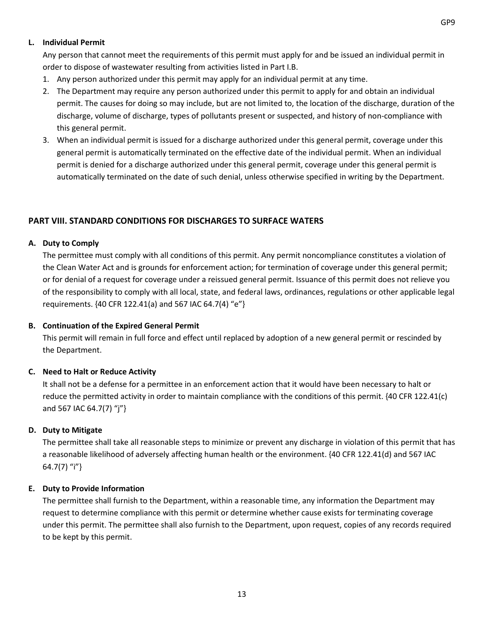#### **L. Individual Permit**

Any person that cannot meet the requirements of this permit must apply for and be issued an individual permit in order to dispose of wastewater resulting from activities listed in Part I.B.

- 1. Any person authorized under this permit may apply for an individual permit at any time.
- 2. The Department may require any person authorized under this permit to apply for and obtain an individual permit. The causes for doing so may include, but are not limited to, the location of the discharge, duration of the discharge, volume of discharge, types of pollutants present or suspected, and history of non-compliance with this general permit.
- 3. When an individual permit is issued for a discharge authorized under this general permit, coverage under this general permit is automatically terminated on the effective date of the individual permit. When an individual permit is denied for a discharge authorized under this general permit, coverage under this general permit is automatically terminated on the date of such denial, unless otherwise specified in writing by the Department.

## <span id="page-14-0"></span>**PART VIII. STANDARD CONDITIONS FOR DISCHARGES TO SURFACE WATERS**

### **A. Duty to Comply**

The permittee must comply with all conditions of this permit. Any permit noncompliance constitutes a violation of the Clean Water Act and is grounds for enforcement action; for termination of coverage under this general permit; or for denial of a request for coverage under a reissued general permit. Issuance of this permit does not relieve you of the responsibility to comply with all local, state, and federal laws, ordinances, regulations or other applicable legal requirements. {40 CFR 122.41(a) and 567 IAC 64.7(4) "e"}

#### **B. Continuation of the Expired General Permit**

This permit will remain in full force and effect until replaced by adoption of a new general permit or rescinded by the Department.

## **C. Need to Halt or Reduce Activity**

It shall not be a defense for a permittee in an enforcement action that it would have been necessary to halt or reduce the permitted activity in order to maintain compliance with the conditions of this permit. {40 CFR 122.41(c) and 567 IAC 64.7(7) "j"}

## **D. Duty to Mitigate**

The permittee shall take all reasonable steps to minimize or prevent any discharge in violation of this permit that has a reasonable likelihood of adversely affecting human health or the environment. {40 CFR 122.41(d) and 567 IAC 64.7(7) "i"}

## **E. Duty to Provide Information**

The permittee shall furnish to the Department, within a reasonable time, any information the Department may request to determine compliance with this permit or determine whether cause exists for terminating coverage under this permit. The permittee shall also furnish to the Department, upon request, copies of any records required to be kept by this permit.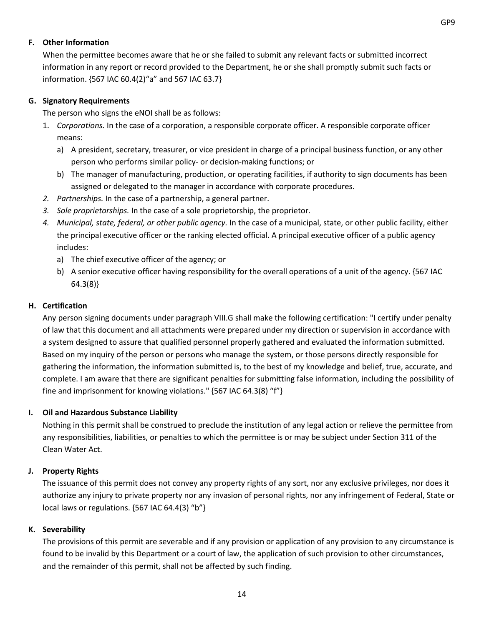#### **F. Other Information**

When the permittee becomes aware that he or she failed to submit any relevant facts or submitted incorrect information in any report or record provided to the Department, he or she shall promptly submit such facts or information. {567 IAC 60.4(2)"a" and 567 IAC 63.7}

## **G. Signatory Requirements**

The person who signs the eNOI shall be as follows:

- 1. *Corporations.* In the case of a corporation, a responsible corporate officer. A responsible corporate officer means:
	- a) A president, secretary, treasurer, or vice president in charge of a principal business function, or any other person who performs similar policy- or decision-making functions; or
	- b) The manager of manufacturing, production, or operating facilities, if authority to sign documents has been assigned or delegated to the manager in accordance with corporate procedures.
- *2. Partnerships.* In the case of a partnership, a general partner.
- *3. Sole proprietorships.* In the case of a sole proprietorship, the proprietor.
- *4. Municipal, state, federal, or other public agency.* In the case of a municipal, state, or other public facility, either the principal executive officer or the ranking elected official. A principal executive officer of a public agency includes:
	- a) The chief executive officer of the agency; or
	- b) A senior executive officer having responsibility for the overall operations of a unit of the agency. {567 IAC 64.3(8)}

### **H. Certification**

Any person signing documents under paragraph VIII.G shall make the following certification: "I certify under penalty of law that this document and all attachments were prepared under my direction or supervision in accordance with a system designed to assure that qualified personnel properly gathered and evaluated the information submitted. Based on my inquiry of the person or persons who manage the system, or those persons directly responsible for gathering the information, the information submitted is, to the best of my knowledge and belief, true, accurate, and complete. I am aware that there are significant penalties for submitting false information, including the possibility of fine and imprisonment for knowing violations." {567 IAC 64.3(8) "f"}

## **I. Oil and Hazardous Substance Liability**

Nothing in this permit shall be construed to preclude the institution of any legal action or relieve the permittee from any responsibilities, liabilities, or penalties to which the permittee is or may be subject under Section 311 of the Clean Water Act.

#### **J. Property Rights**

The issuance of this permit does not convey any property rights of any sort, nor any exclusive privileges, nor does it authorize any injury to private property nor any invasion of personal rights, nor any infringement of Federal, State or local laws or regulations. {567 IAC 64.4(3) "b"}

## **K. Severability**

The provisions of this permit are severable and if any provision or application of any provision to any circumstance is found to be invalid by this Department or a court of law, the application of such provision to other circumstances, and the remainder of this permit, shall not be affected by such finding.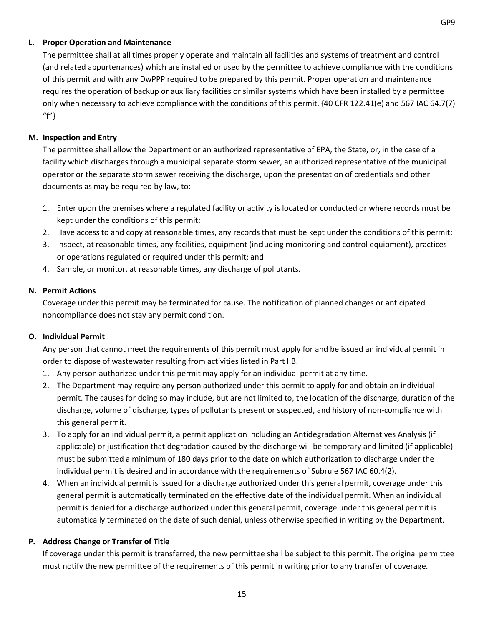#### **L. Proper Operation and Maintenance**

The permittee shall at all times properly operate and maintain all facilities and systems of treatment and control (and related appurtenances) which are installed or used by the permittee to achieve compliance with the conditions of this permit and with any DwPPP required to be prepared by this permit. Proper operation and maintenance requires the operation of backup or auxiliary facilities or similar systems which have been installed by a permittee only when necessary to achieve compliance with the conditions of this permit. {40 CFR 122.41(e) and 567 IAC 64.7(7) "f"}

#### **M. Inspection and Entry**

The permittee shall allow the Department or an authorized representative of EPA, the State, or, in the case of a facility which discharges through a municipal separate storm sewer, an authorized representative of the municipal operator or the separate storm sewer receiving the discharge, upon the presentation of credentials and other documents as may be required by law, to:

- 1. Enter upon the premises where a regulated facility or activity is located or conducted or where records must be kept under the conditions of this permit;
- 2. Have access to and copy at reasonable times, any records that must be kept under the conditions of this permit;
- 3. Inspect, at reasonable times, any facilities, equipment (including monitoring and control equipment), practices or operations regulated or required under this permit; and
- 4. Sample, or monitor, at reasonable times, any discharge of pollutants.

#### **N. Permit Actions**

Coverage under this permit may be terminated for cause. The notification of planned changes or anticipated noncompliance does not stay any permit condition.

#### **O. Individual Permit**

Any person that cannot meet the requirements of this permit must apply for and be issued an individual permit in order to dispose of wastewater resulting from activities listed in Part I.B.

- 1. Any person authorized under this permit may apply for an individual permit at any time.
- 2. The Department may require any person authorized under this permit to apply for and obtain an individual permit. The causes for doing so may include, but are not limited to, the location of the discharge, duration of the discharge, volume of discharge, types of pollutants present or suspected, and history of non-compliance with this general permit.
- 3. To apply for an individual permit, a permit application including an Antidegradation Alternatives Analysis (if applicable) or justification that degradation caused by the discharge will be temporary and limited (if applicable) must be submitted a minimum of 180 days prior to the date on which authorization to discharge under the individual permit is desired and in accordance with the requirements of Subrule 567 IAC 60.4(2).
- 4. When an individual permit is issued for a discharge authorized under this general permit, coverage under this general permit is automatically terminated on the effective date of the individual permit. When an individual permit is denied for a discharge authorized under this general permit, coverage under this general permit is automatically terminated on the date of such denial, unless otherwise specified in writing by the Department.

#### **P. Address Change or Transfer of Title**

If coverage under this permit is transferred, the new permittee shall be subject to this permit. The original permittee must notify the new permittee of the requirements of this permit in writing prior to any transfer of coverage.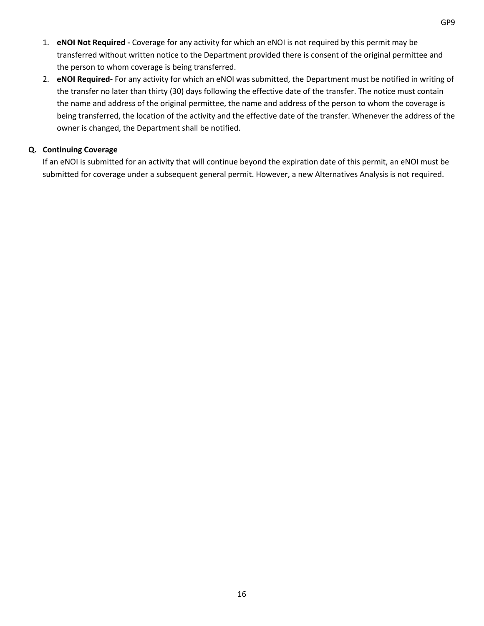- 1. **eNOI Not Required -** Coverage for any activity for which an eNOI is not required by this permit may be transferred without written notice to the Department provided there is consent of the original permittee and the person to whom coverage is being transferred.
- 2. **eNOI Required-** For any activity for which an eNOI was submitted, the Department must be notified in writing of the transfer no later than thirty (30) days following the effective date of the transfer. The notice must contain the name and address of the original permittee, the name and address of the person to whom the coverage is being transferred, the location of the activity and the effective date of the transfer. Whenever the address of the owner is changed, the Department shall be notified.

## **Q. Continuing Coverage**

If an eNOI is submitted for an activity that will continue beyond the expiration date of this permit, an eNOI must be submitted for coverage under a subsequent general permit. However, a new Alternatives Analysis is not required.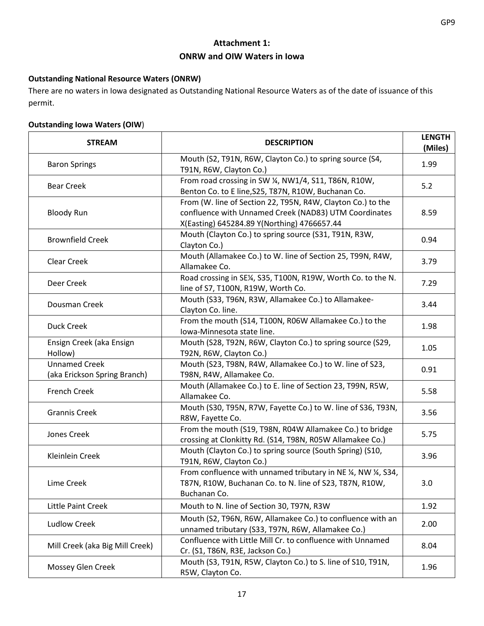## **Attachment 1: ONRW and OIW Waters in Iowa**

## <span id="page-18-0"></span>**Outstanding National Resource Waters (ONRW)**

There are no waters in Iowa designated as Outstanding National Resource Waters as of the date of issuance of this permit.

## **Outstanding Iowa Waters (OIW**)

| <b>STREAM</b>                                        | <b>DESCRIPTION</b>                                                                                                                                                  | <b>LENGTH</b><br>(Miles) |
|------------------------------------------------------|---------------------------------------------------------------------------------------------------------------------------------------------------------------------|--------------------------|
| <b>Baron Springs</b>                                 | Mouth (S2, T91N, R6W, Clayton Co.) to spring source (S4,<br>T91N, R6W, Clayton Co.)                                                                                 | 1.99                     |
| <b>Bear Creek</b>                                    | From road crossing in SW ¼, NW1/4, S11, T86N, R10W,<br>Benton Co. to E line, S25, T87N, R10W, Buchanan Co.                                                          | 5.2                      |
| <b>Bloody Run</b>                                    | From (W. line of Section 22, T95N, R4W, Clayton Co.) to the<br>confluence with Unnamed Creek (NAD83) UTM Coordinates<br>X(Easting) 645284.89 Y(Northing) 4766657.44 | 8.59                     |
| <b>Brownfield Creek</b>                              | Mouth (Clayton Co.) to spring source (S31, T91N, R3W,<br>Clayton Co.)                                                                                               | 0.94                     |
| Clear Creek                                          | Mouth (Allamakee Co.) to W. line of Section 25, T99N, R4W,<br>Allamakee Co.                                                                                         | 3.79                     |
| Deer Creek                                           | Road crossing in SE¼, S35, T100N, R19W, Worth Co. to the N.<br>line of S7, T100N, R19W, Worth Co.                                                                   | 7.29                     |
| Dousman Creek                                        | Mouth (S33, T96N, R3W, Allamakee Co.) to Allamakee-<br>Clayton Co. line.                                                                                            | 3.44                     |
| <b>Duck Creek</b>                                    | From the mouth (S14, T100N, R06W Allamakee Co.) to the<br>Iowa-Minnesota state line.                                                                                | 1.98                     |
| Ensign Creek (aka Ensign<br>Hollow)                  | Mouth (S28, T92N, R6W, Clayton Co.) to spring source (S29,<br>T92N, R6W, Clayton Co.)                                                                               | 1.05                     |
| <b>Unnamed Creek</b><br>(aka Erickson Spring Branch) | Mouth (S23, T98N, R4W, Allamakee Co.) to W. line of S23,<br>T98N, R4W, Allamakee Co.                                                                                | 0.91                     |
| <b>French Creek</b>                                  | Mouth (Allamakee Co.) to E. line of Section 23, T99N, R5W,<br>Allamakee Co.                                                                                         | 5.58                     |
| <b>Grannis Creek</b>                                 | Mouth (S30, T95N, R7W, Fayette Co.) to W. line of S36, T93N,<br>R8W, Fayette Co.                                                                                    | 3.56                     |
| Jones Creek                                          | From the mouth (S19, T98N, R04W Allamakee Co.) to bridge<br>crossing at Clonkitty Rd. (S14, T98N, R05W Allamakee Co.)                                               | 5.75                     |
| Kleinlein Creek                                      | Mouth (Clayton Co.) to spring source (South Spring) (S10,<br>T91N, R6W, Clayton Co.)                                                                                | 3.96                     |
| Lime Creek                                           | From confluence with unnamed tributary in NE 1/4, NW 1/4, S34,<br>T87N, R10W, Buchanan Co. to N. line of S23, T87N, R10W,<br>Buchanan Co.                           | 3.0                      |
| Little Paint Creek                                   | Mouth to N. line of Section 30, T97N, R3W                                                                                                                           | 1.92                     |
| <b>Ludlow Creek</b>                                  | Mouth (S2, T96N, R6W, Allamakee Co.) to confluence with an<br>unnamed tributary (S33, T97N, R6W, Allamakee Co.)                                                     | 2.00                     |
| Mill Creek (aka Big Mill Creek)                      | Confluence with Little Mill Cr. to confluence with Unnamed<br>Cr. (S1, T86N, R3E, Jackson Co.)                                                                      | 8.04                     |
| Mossey Glen Creek                                    | Mouth (S3, T91N, R5W, Clayton Co.) to S. line of S10, T91N,<br>R5W, Clayton Co.                                                                                     | 1.96                     |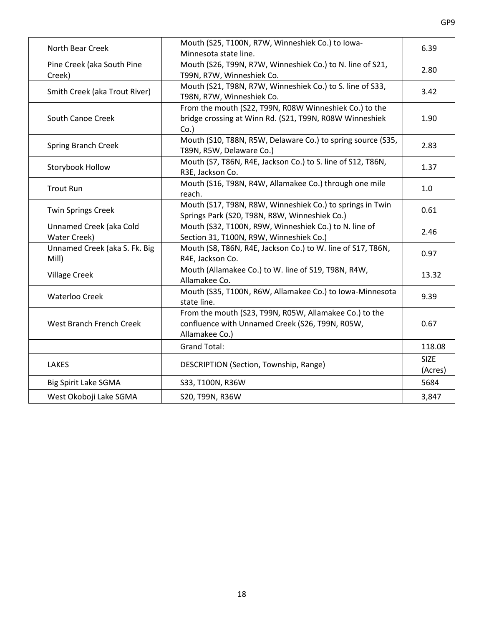| North Bear Creek                        | Mouth (S25, T100N, R7W, Winneshiek Co.) to lowa-<br>Minnesota state line.                                                   | 6.39                   |
|-----------------------------------------|-----------------------------------------------------------------------------------------------------------------------------|------------------------|
| Pine Creek (aka South Pine<br>Creek)    | Mouth (S26, T99N, R7W, Winneshiek Co.) to N. line of S21,<br>T99N, R7W, Winneshiek Co.                                      | 2.80                   |
| Smith Creek (aka Trout River)           | Mouth (S21, T98N, R7W, Winneshiek Co.) to S. line of S33,<br>T98N, R7W, Winneshiek Co.                                      | 3.42                   |
| South Canoe Creek                       | From the mouth (S22, T99N, R08W Winneshiek Co.) to the<br>bridge crossing at Winn Rd. (S21, T99N, R08W Winneshiek<br>Co.    | 1.90                   |
| <b>Spring Branch Creek</b>              | Mouth (S10, T88N, R5W, Delaware Co.) to spring source (S35,<br>T89N, R5W, Delaware Co.)                                     | 2.83                   |
| Storybook Hollow                        | Mouth (S7, T86N, R4E, Jackson Co.) to S. line of S12, T86N,<br>R3E, Jackson Co.                                             | 1.37                   |
| <b>Trout Run</b>                        | Mouth (S16, T98N, R4W, Allamakee Co.) through one mile<br>reach.                                                            | 1.0                    |
| <b>Twin Springs Creek</b>               | Mouth (S17, T98N, R8W, Winneshiek Co.) to springs in Twin<br>Springs Park (S20, T98N, R8W, Winneshiek Co.)                  | 0.61                   |
| Unnamed Creek (aka Cold<br>Water Creek) | Mouth (S32, T100N, R9W, Winneshiek Co.) to N. line of<br>Section 31, T100N, R9W, Winneshiek Co.)                            | 2.46                   |
| Unnamed Creek (aka S. Fk. Big<br>Mill)  | Mouth (S8, T86N, R4E, Jackson Co.) to W. line of S17, T86N,<br>R4E, Jackson Co.                                             | 0.97                   |
| <b>Village Creek</b>                    | Mouth (Allamakee Co.) to W. line of S19, T98N, R4W,<br>Allamakee Co.                                                        | 13.32                  |
| <b>Waterloo Creek</b>                   | Mouth (S35, T100N, R6W, Allamakee Co.) to Iowa-Minnesota<br>state line.                                                     | 9.39                   |
| West Branch French Creek                | From the mouth (S23, T99N, R05W, Allamakee Co.) to the<br>confluence with Unnamed Creek (S26, T99N, R05W,<br>Allamakee Co.) | 0.67                   |
|                                         | <b>Grand Total:</b>                                                                                                         | 118.08                 |
| <b>LAKES</b>                            | DESCRIPTION (Section, Township, Range)                                                                                      | <b>SIZE</b><br>(Acres) |
| <b>Big Spirit Lake SGMA</b>             | S33, T100N, R36W                                                                                                            | 5684                   |
| West Okoboji Lake SGMA                  | S20, T99N, R36W                                                                                                             | 3,847                  |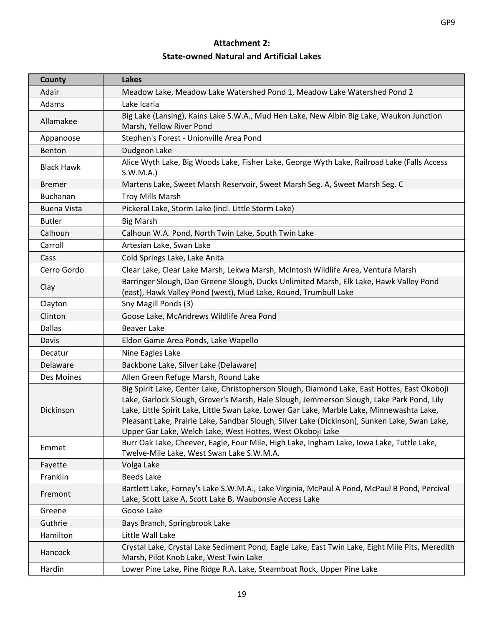## **Attachment 2: State-owned Natural and Artificial Lakes**

<span id="page-20-0"></span>

| County             | <b>Lakes</b>                                                                                                                                                                                                                                                                                                                                                                                                                                           |
|--------------------|--------------------------------------------------------------------------------------------------------------------------------------------------------------------------------------------------------------------------------------------------------------------------------------------------------------------------------------------------------------------------------------------------------------------------------------------------------|
| Adair              | Meadow Lake, Meadow Lake Watershed Pond 1, Meadow Lake Watershed Pond 2                                                                                                                                                                                                                                                                                                                                                                                |
| Adams              | Lake Icaria                                                                                                                                                                                                                                                                                                                                                                                                                                            |
| Allamakee          | Big Lake (Lansing), Kains Lake S.W.A., Mud Hen Lake, New Albin Big Lake, Waukon Junction<br>Marsh, Yellow River Pond                                                                                                                                                                                                                                                                                                                                   |
| Appanoose          | Stephen's Forest - Unionville Area Pond                                                                                                                                                                                                                                                                                                                                                                                                                |
| Benton             | Dudgeon Lake                                                                                                                                                                                                                                                                                                                                                                                                                                           |
| <b>Black Hawk</b>  | Alice Wyth Lake, Big Woods Lake, Fisher Lake, George Wyth Lake, Railroad Lake (Falls Access<br>S.W.M.A.                                                                                                                                                                                                                                                                                                                                                |
| <b>Bremer</b>      | Martens Lake, Sweet Marsh Reservoir, Sweet Marsh Seg. A, Sweet Marsh Seg. C                                                                                                                                                                                                                                                                                                                                                                            |
| Buchanan           | <b>Troy Mills Marsh</b>                                                                                                                                                                                                                                                                                                                                                                                                                                |
| <b>Buena Vista</b> | Pickeral Lake, Storm Lake (incl. Little Storm Lake)                                                                                                                                                                                                                                                                                                                                                                                                    |
| <b>Butler</b>      | <b>Big Marsh</b>                                                                                                                                                                                                                                                                                                                                                                                                                                       |
| Calhoun            | Calhoun W.A. Pond, North Twin Lake, South Twin Lake                                                                                                                                                                                                                                                                                                                                                                                                    |
| Carroll            | Artesian Lake, Swan Lake                                                                                                                                                                                                                                                                                                                                                                                                                               |
| Cass               | Cold Springs Lake, Lake Anita                                                                                                                                                                                                                                                                                                                                                                                                                          |
| Cerro Gordo        | Clear Lake, Clear Lake Marsh, Lekwa Marsh, McIntosh Wildlife Area, Ventura Marsh                                                                                                                                                                                                                                                                                                                                                                       |
| Clay               | Barringer Slough, Dan Greene Slough, Ducks Unlimited Marsh, Elk Lake, Hawk Valley Pond<br>(east), Hawk Valley Pond (west), Mud Lake, Round, Trumbull Lake                                                                                                                                                                                                                                                                                              |
| Clayton            | Sny Magill Ponds (3)                                                                                                                                                                                                                                                                                                                                                                                                                                   |
| Clinton            | Goose Lake, McAndrews Wildlife Area Pond                                                                                                                                                                                                                                                                                                                                                                                                               |
| <b>Dallas</b>      | <b>Beaver Lake</b>                                                                                                                                                                                                                                                                                                                                                                                                                                     |
| Davis              | Eldon Game Area Ponds, Lake Wapello                                                                                                                                                                                                                                                                                                                                                                                                                    |
| Decatur            | Nine Eagles Lake                                                                                                                                                                                                                                                                                                                                                                                                                                       |
| Delaware           | Backbone Lake, Silver Lake (Delaware)                                                                                                                                                                                                                                                                                                                                                                                                                  |
| Des Moines         | Allen Green Refuge Marsh, Round Lake                                                                                                                                                                                                                                                                                                                                                                                                                   |
| Dickinson          | Big Spirit Lake, Center Lake, Christopherson Slough, Diamond Lake, East Hottes, East Okoboji<br>Lake, Garlock Slough, Grover's Marsh, Hale Slough, Jemmerson Slough, Lake Park Pond, Lily<br>Lake, Little Spirit Lake, Little Swan Lake, Lower Gar Lake, Marble Lake, Minnewashta Lake,<br>Pleasant Lake, Prairie Lake, Sandbar Slough, Silver Lake (Dickinson), Sunken Lake, Swan Lake,<br>Upper Gar Lake, Welch Lake, West Hottes, West Okoboji Lake |
| Emmet              | Burr Oak Lake, Cheever, Eagle, Four Mile, High Lake, Ingham Lake, Iowa Lake, Tuttle Lake,<br>Twelve-Mile Lake, West Swan Lake S.W.M.A.                                                                                                                                                                                                                                                                                                                 |
| Fayette            | Volga Lake                                                                                                                                                                                                                                                                                                                                                                                                                                             |
| Franklin           | <b>Beeds Lake</b>                                                                                                                                                                                                                                                                                                                                                                                                                                      |
| Fremont            | Bartlett Lake, Forney's Lake S.W.M.A., Lake Virginia, McPaul A Pond, McPaul B Pond, Percival<br>Lake, Scott Lake A, Scott Lake B, Waubonsie Access Lake                                                                                                                                                                                                                                                                                                |
| Greene             | Goose Lake                                                                                                                                                                                                                                                                                                                                                                                                                                             |
| Guthrie            | Bays Branch, Springbrook Lake                                                                                                                                                                                                                                                                                                                                                                                                                          |
| Hamilton           | Little Wall Lake                                                                                                                                                                                                                                                                                                                                                                                                                                       |
| Hancock            | Crystal Lake, Crystal Lake Sediment Pond, Eagle Lake, East Twin Lake, Eight Mile Pits, Meredith<br>Marsh, Pilot Knob Lake, West Twin Lake                                                                                                                                                                                                                                                                                                              |
| Hardin             | Lower Pine Lake, Pine Ridge R.A. Lake, Steamboat Rock, Upper Pine Lake                                                                                                                                                                                                                                                                                                                                                                                 |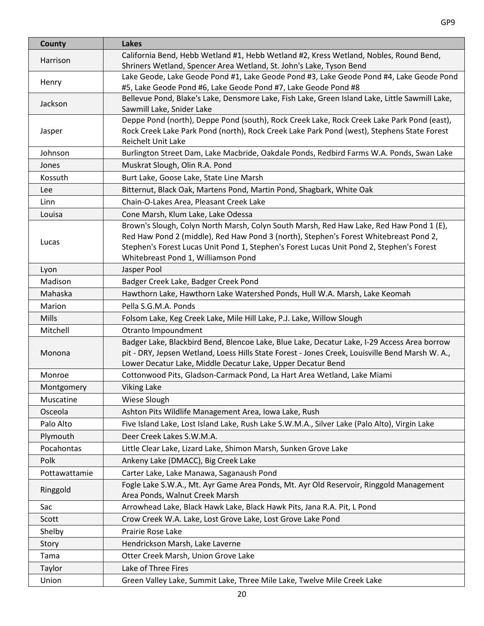| County        | <b>Lakes</b>                                                                                                                                                                                                                                                                                                        |
|---------------|---------------------------------------------------------------------------------------------------------------------------------------------------------------------------------------------------------------------------------------------------------------------------------------------------------------------|
| Harrison      | California Bend, Hebb Wetland #1, Hebb Wetland #2, Kress Wetland, Nobles, Round Bend,<br>Shriners Wetland, Spencer Area Wetland, St. John's Lake, Tyson Bend                                                                                                                                                        |
| Henry         | Lake Geode, Lake Geode Pond #1, Lake Geode Pond #3, Lake Geode Pond #4, Lake Geode Pond<br>#5, Lake Geode Pond #6, Lake Geode Pond #7, Lake Geode Pond #8                                                                                                                                                           |
| Jackson       | Bellevue Pond, Blake's Lake, Densmore Lake, Fish Lake, Green Island Lake, Little Sawmill Lake,<br>Sawmill Lake, Snider Lake                                                                                                                                                                                         |
| Jasper        | Deppe Pond (north), Deppe Pond (south), Rock Creek Lake, Rock Creek Lake Park Pond (east),<br>Rock Creek Lake Park Pond (north), Rock Creek Lake Park Pond (west), Stephens State Forest<br><b>Reichelt Unit Lake</b>                                                                                               |
| Johnson       | Burlington Street Dam, Lake Macbride, Oakdale Ponds, Redbird Farms W.A. Ponds, Swan Lake                                                                                                                                                                                                                            |
| Jones         | Muskrat Slough, Olin R.A. Pond                                                                                                                                                                                                                                                                                      |
| Kossuth       | Burt Lake, Goose Lake, State Line Marsh                                                                                                                                                                                                                                                                             |
| Lee           | Bitternut, Black Oak, Martens Pond, Martin Pond, Shagbark, White Oak                                                                                                                                                                                                                                                |
| Linn          | Chain-O-Lakes Area, Pleasant Creek Lake                                                                                                                                                                                                                                                                             |
| Louisa        | Cone Marsh, Klum Lake, Lake Odessa                                                                                                                                                                                                                                                                                  |
| Lucas         | Brown's Slough, Colyn North Marsh, Colyn South Marsh, Red Haw Lake, Red Haw Pond 1 (E),<br>Red Haw Pond 2 (middle), Red Haw Pond 3 (north), Stephen's Forest Whitebreast Pond 2,<br>Stephen's Forest Lucas Unit Pond 1, Stephen's Forest Lucas Unit Pond 2, Stephen's Forest<br>Whitebreast Pond 1, Williamson Pond |
| Lyon          | Jasper Pool                                                                                                                                                                                                                                                                                                         |
| Madison       | Badger Creek Lake, Badger Creek Pond                                                                                                                                                                                                                                                                                |
| Mahaska       | Hawthorn Lake, Hawthorn Lake Watershed Ponds, Hull W.A. Marsh, Lake Keomah                                                                                                                                                                                                                                          |
| Marion        | Pella S.G.M.A. Ponds                                                                                                                                                                                                                                                                                                |
| Mills         | Folsom Lake, Keg Creek Lake, Mile Hill Lake, P.J. Lake, Willow Slough                                                                                                                                                                                                                                               |
| Mitchell      | Otranto Impoundment                                                                                                                                                                                                                                                                                                 |
| Monona        | Badger Lake, Blackbird Bend, Blencoe Lake, Blue Lake, Decatur Lake, I-29 Access Area borrow<br>pit - DRY, Jepsen Wetland, Loess Hills State Forest - Jones Creek, Louisville Bend Marsh W. A.,<br>Lower Decatur Lake, Middle Decatur Lake, Upper Decatur Bend                                                       |
| Monroe        | Cottonwood Pits, Gladson-Carmack Pond, La Hart Area Wetland, Lake Miami                                                                                                                                                                                                                                             |
| Montgomery    | <b>Viking Lake</b>                                                                                                                                                                                                                                                                                                  |
| Muscatine     | Wiese Slough                                                                                                                                                                                                                                                                                                        |
| Osceola       | Ashton Pits Wildlife Management Area, Iowa Lake, Rush                                                                                                                                                                                                                                                               |
| Palo Alto     | Five Island Lake, Lost Island Lake, Rush Lake S.W.M.A., Silver Lake (Palo Alto), Virgin Lake                                                                                                                                                                                                                        |
| Plymouth      | Deer Creek Lakes S.W.M.A.                                                                                                                                                                                                                                                                                           |
| Pocahontas    | Little Clear Lake, Lizard Lake, Shimon Marsh, Sunken Grove Lake                                                                                                                                                                                                                                                     |
| Polk          | Ankeny Lake (DMACC), Big Creek Lake                                                                                                                                                                                                                                                                                 |
| Pottawattamie | Carter Lake, Lake Manawa, Saganaush Pond                                                                                                                                                                                                                                                                            |
| Ringgold      | Fogle Lake S.W.A., Mt. Ayr Game Area Ponds, Mt. Ayr Old Reservoir, Ringgold Management<br>Area Ponds, Walnut Creek Marsh                                                                                                                                                                                            |
| Sac           | Arrowhead Lake, Black Hawk Lake, Black Hawk Pits, Jana R.A. Pit, L Pond                                                                                                                                                                                                                                             |
| Scott         | Crow Creek W.A. Lake, Lost Grove Lake, Lost Grove Lake Pond                                                                                                                                                                                                                                                         |
| Shelby        | Prairie Rose Lake                                                                                                                                                                                                                                                                                                   |
| Story         | Hendrickson Marsh, Lake Laverne                                                                                                                                                                                                                                                                                     |
| Tama          | Otter Creek Marsh, Union Grove Lake                                                                                                                                                                                                                                                                                 |
| Taylor        | Lake of Three Fires                                                                                                                                                                                                                                                                                                 |
| Union         | Green Valley Lake, Summit Lake, Three Mile Lake, Twelve Mile Creek Lake                                                                                                                                                                                                                                             |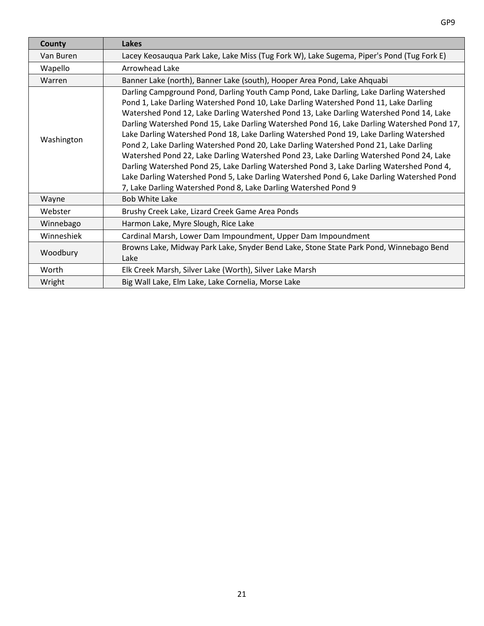| County     | Lakes                                                                                                                                                                                                                                                                                                                                                                                                                                                                                                                                                                                                                                                                                                                                                                                                                                                                                                            |
|------------|------------------------------------------------------------------------------------------------------------------------------------------------------------------------------------------------------------------------------------------------------------------------------------------------------------------------------------------------------------------------------------------------------------------------------------------------------------------------------------------------------------------------------------------------------------------------------------------------------------------------------------------------------------------------------------------------------------------------------------------------------------------------------------------------------------------------------------------------------------------------------------------------------------------|
| Van Buren  | Lacey Keosauqua Park Lake, Lake Miss (Tug Fork W), Lake Sugema, Piper's Pond (Tug Fork E)                                                                                                                                                                                                                                                                                                                                                                                                                                                                                                                                                                                                                                                                                                                                                                                                                        |
| Wapello    | Arrowhead Lake                                                                                                                                                                                                                                                                                                                                                                                                                                                                                                                                                                                                                                                                                                                                                                                                                                                                                                   |
| Warren     | Banner Lake (north), Banner Lake (south), Hooper Area Pond, Lake Ahquabi                                                                                                                                                                                                                                                                                                                                                                                                                                                                                                                                                                                                                                                                                                                                                                                                                                         |
| Washington | Darling Campground Pond, Darling Youth Camp Pond, Lake Darling, Lake Darling Watershed<br>Pond 1, Lake Darling Watershed Pond 10, Lake Darling Watershed Pond 11, Lake Darling<br>Watershed Pond 12, Lake Darling Watershed Pond 13, Lake Darling Watershed Pond 14, Lake<br>Darling Watershed Pond 15, Lake Darling Watershed Pond 16, Lake Darling Watershed Pond 17,<br>Lake Darling Watershed Pond 18, Lake Darling Watershed Pond 19, Lake Darling Watershed<br>Pond 2, Lake Darling Watershed Pond 20, Lake Darling Watershed Pond 21, Lake Darling<br>Watershed Pond 22, Lake Darling Watershed Pond 23, Lake Darling Watershed Pond 24, Lake<br>Darling Watershed Pond 25, Lake Darling Watershed Pond 3, Lake Darling Watershed Pond 4,<br>Lake Darling Watershed Pond 5, Lake Darling Watershed Pond 6, Lake Darling Watershed Pond<br>7, Lake Darling Watershed Pond 8, Lake Darling Watershed Pond 9 |
| Wayne      | <b>Bob White Lake</b>                                                                                                                                                                                                                                                                                                                                                                                                                                                                                                                                                                                                                                                                                                                                                                                                                                                                                            |
| Webster    | Brushy Creek Lake, Lizard Creek Game Area Ponds                                                                                                                                                                                                                                                                                                                                                                                                                                                                                                                                                                                                                                                                                                                                                                                                                                                                  |
| Winnebago  | Harmon Lake, Myre Slough, Rice Lake                                                                                                                                                                                                                                                                                                                                                                                                                                                                                                                                                                                                                                                                                                                                                                                                                                                                              |
| Winneshiek | Cardinal Marsh, Lower Dam Impoundment, Upper Dam Impoundment                                                                                                                                                                                                                                                                                                                                                                                                                                                                                                                                                                                                                                                                                                                                                                                                                                                     |
| Woodbury   | Browns Lake, Midway Park Lake, Snyder Bend Lake, Stone State Park Pond, Winnebago Bend<br>Lake                                                                                                                                                                                                                                                                                                                                                                                                                                                                                                                                                                                                                                                                                                                                                                                                                   |
| Worth      | Elk Creek Marsh, Silver Lake (Worth), Silver Lake Marsh                                                                                                                                                                                                                                                                                                                                                                                                                                                                                                                                                                                                                                                                                                                                                                                                                                                          |
| Wright     | Big Wall Lake, Elm Lake, Lake Cornelia, Morse Lake                                                                                                                                                                                                                                                                                                                                                                                                                                                                                                                                                                                                                                                                                                                                                                                                                                                               |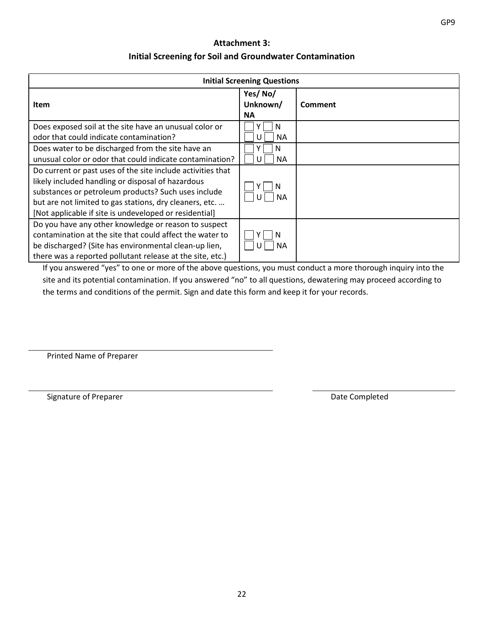## **Attachment 3: Initial Screening for Soil and Groundwater Contamination**

<span id="page-23-0"></span>

|                                                                                                                                                                                                                                                                                              | <b>Initial Screening Questions</b> |         |
|----------------------------------------------------------------------------------------------------------------------------------------------------------------------------------------------------------------------------------------------------------------------------------------------|------------------------------------|---------|
| Item                                                                                                                                                                                                                                                                                         | Yes/No/<br>Unknown/<br><b>NA</b>   | Comment |
| Does exposed soil at the site have an unusual color or<br>odor that could indicate contamination?                                                                                                                                                                                            | N<br>NA.<br>U                      |         |
| Does water to be discharged from the site have an<br>unusual color or odor that could indicate contamination?                                                                                                                                                                                | N<br><b>NA</b><br>U                |         |
| Do current or past uses of the site include activities that<br>likely included handling or disposal of hazardous<br>substances or petroleum products? Such uses include<br>but are not limited to gas stations, dry cleaners, etc.<br>[Not applicable if site is undeveloped or residential] | <b>NA</b>                          |         |
| Do you have any other knowledge or reason to suspect<br>contamination at the site that could affect the water to<br>be discharged? (Site has environmental clean-up lien,<br>there was a reported pollutant release at the site, etc.)                                                       | N<br><b>NA</b>                     |         |

If you answered "yes" to one or more of the above questions, you must conduct a more thorough inquiry into the site and its potential contamination. If you answered "no" to all questions, dewatering may proceed according to the terms and conditions of the permit. Sign and date this form and keep it for your records.

Printed Name of Preparer

Signature of Preparer Date Completed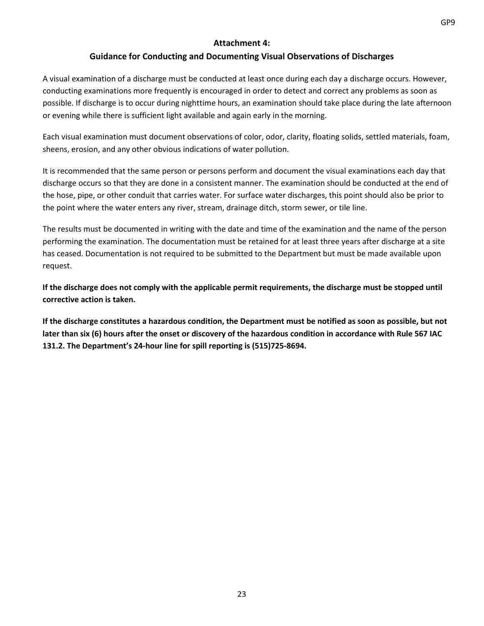## **Attachment 4:**

## **Guidance for Conducting and Documenting Visual Observations of Discharges**

<span id="page-24-0"></span>A visual examination of a discharge must be conducted at least once during each day a discharge occurs. However, conducting examinations more frequently is encouraged in order to detect and correct any problems as soon as possible. If discharge is to occur during nighttime hours, an examination should take place during the late afternoon or evening while there is sufficient light available and again early in the morning.

Each visual examination must document observations of color, odor, clarity, floating solids, settled materials, foam, sheens, erosion, and any other obvious indications of water pollution.

It is recommended that the same person or persons perform and document the visual examinations each day that discharge occurs so that they are done in a consistent manner. The examination should be conducted at the end of the hose, pipe, or other conduit that carries water. For surface water discharges, this point should also be prior to the point where the water enters any river, stream, drainage ditch, storm sewer, or tile line.

The results must be documented in writing with the date and time of the examination and the name of the person performing the examination. The documentation must be retained for at least three years after discharge at a site has ceased. Documentation is not required to be submitted to the Department but must be made available upon request.

**If the discharge does not comply with the applicable permit requirements, the discharge must be stopped until corrective action is taken.**

**If the discharge constitutes a hazardous condition, the Department must be notified as soon as possible, but not later than six (6) hours after the onset or discovery of the hazardous condition in accordance with Rule 567 IAC 131.2. The Department's 24-hour line for spill reporting is (515)725-8694.**